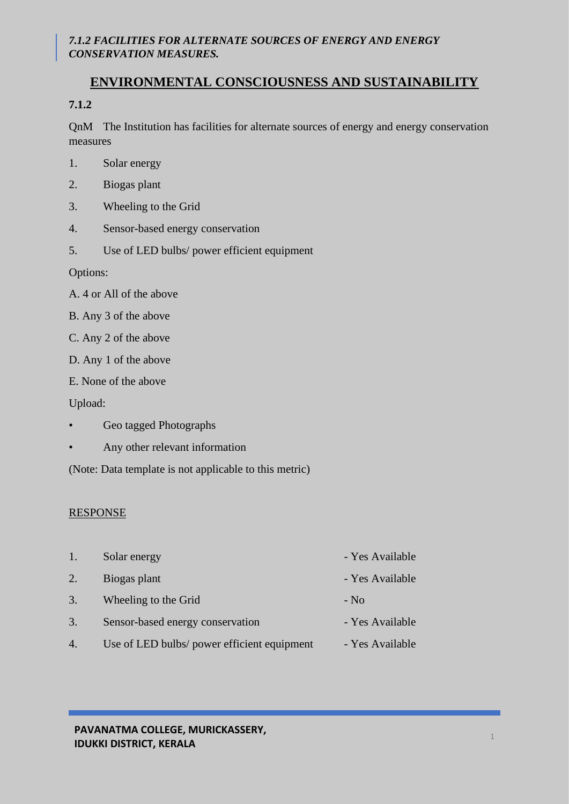# **ENVIRONMENTAL CONSCIOUSNESS AND SUSTAINABILITY**

# **7.1.2**

QnM The Institution has facilities for alternate sources of energy and energy conservation measures

- 1. Solar energy
- 2. Biogas plant
- 3. Wheeling to the Grid
- 4. Sensor-based energy conservation
- 5. Use of LED bulbs/ power efficient equipment

Options:

- A. 4 or All of the above
- B. Any 3 of the above
- C. Any 2 of the above
- D. Any 1 of the above
- E. None of the above

Upload:

- Geo tagged Photographs
- Any other relevant information

(Note: Data template is not applicable to this metric)

#### RESPONSE

- 1. Solar energy  **Yes Available**
- 2. Biogas plant Yes Available
- 3. Wheeling to the Grid No
- 3. Sensor-based energy conservation Yes Available
- 4. Use of LED bulbs/ power efficient equipment Yes Available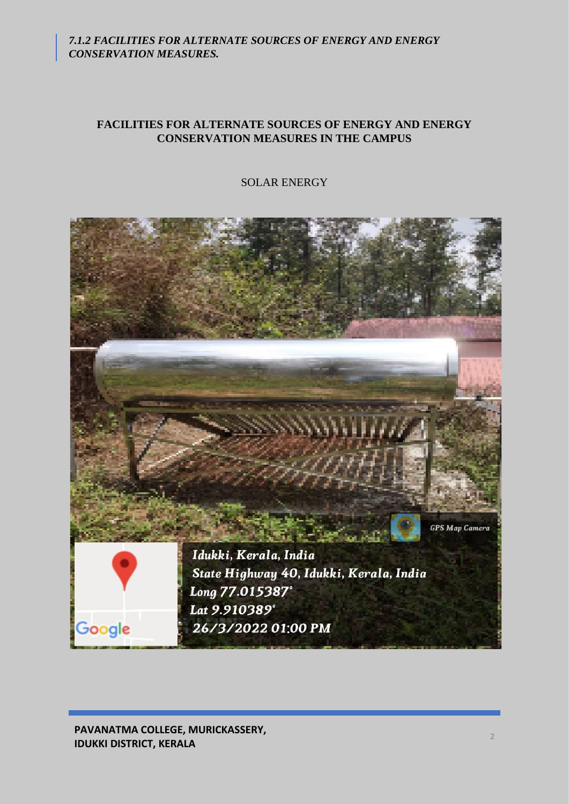## **FACILITIES FOR ALTERNATE SOURCES OF ENERGY AND ENERGY CONSERVATION MEASURES IN THE CAMPUS**

SOLAR ENERGY

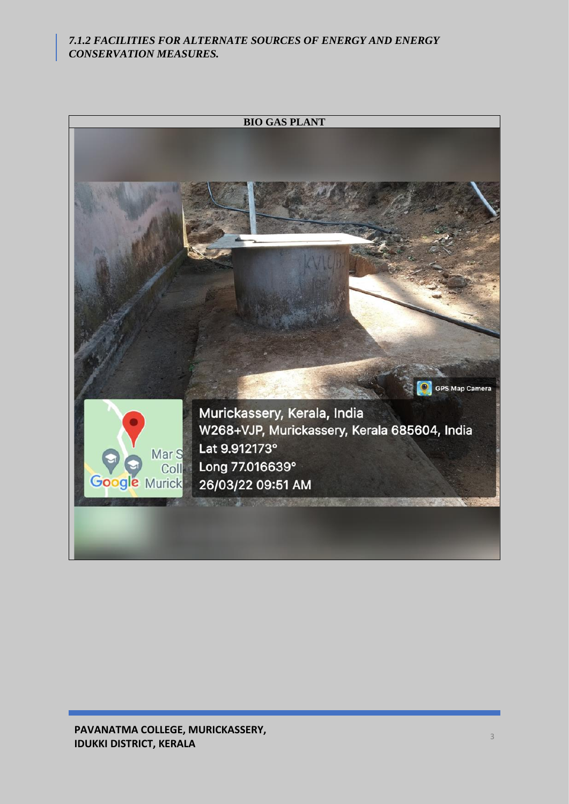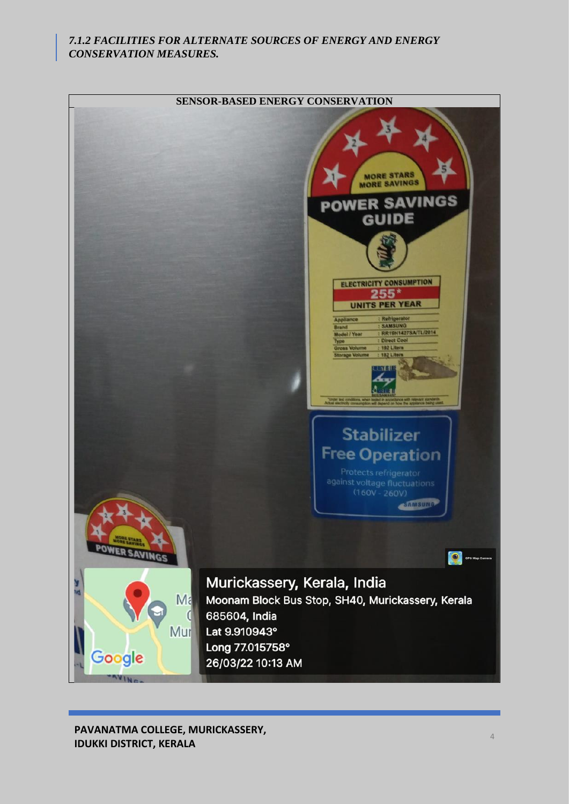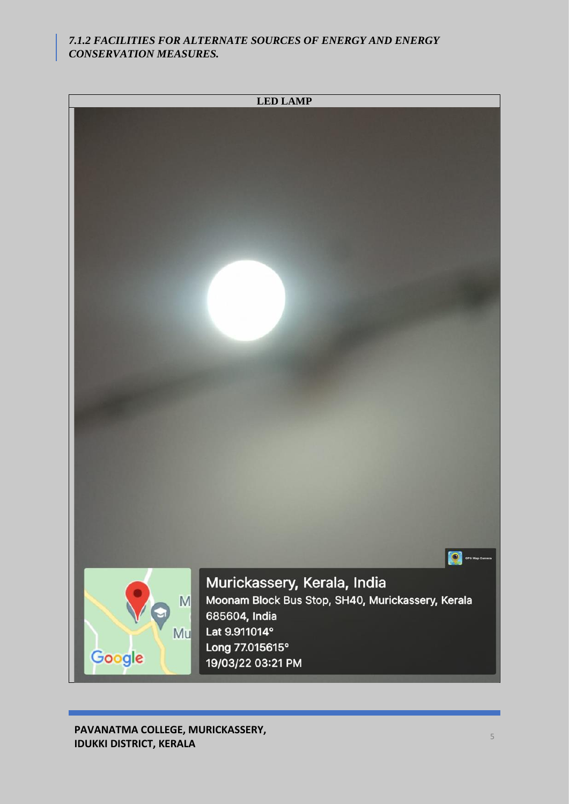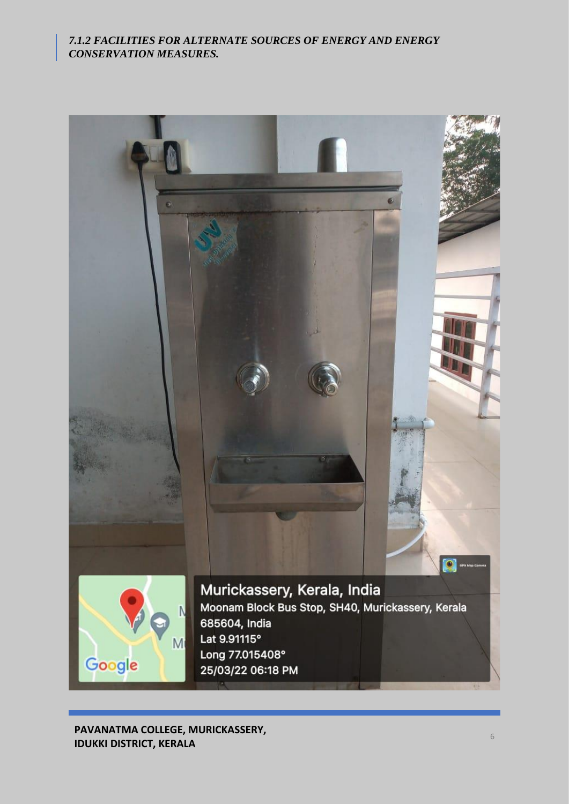